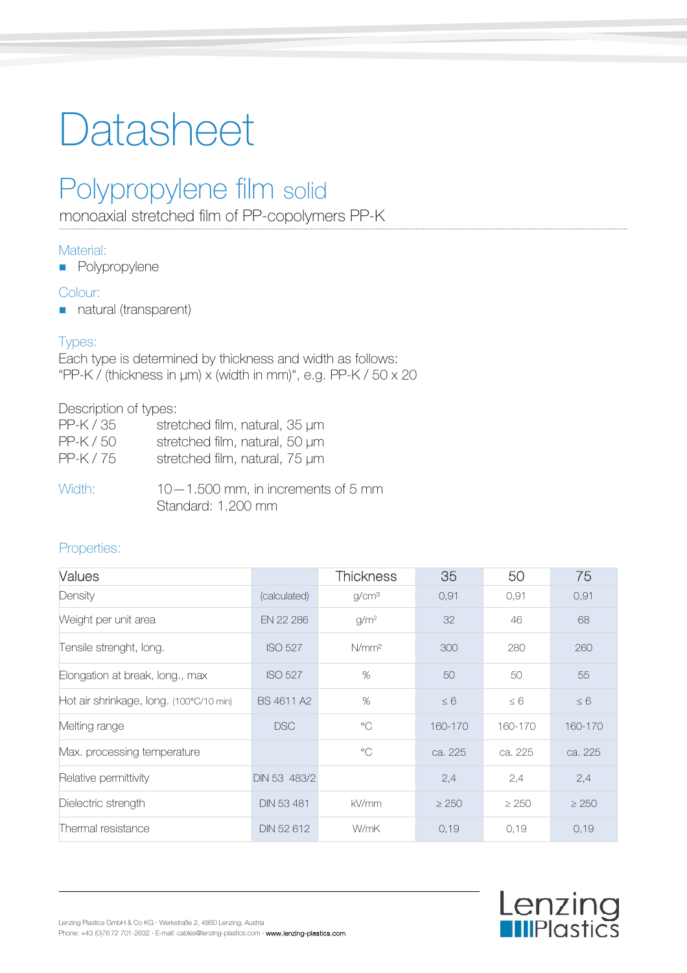# Datasheet

# Polypropylene film solid

monoaxial stretched film of PP-copolymers PP-K

## Material:

**Polypropylene** 

## Colour:

natural (transparent)

## Types:

Each type is determined by thickness and width as follows: "PP-K / (thickness in  $\mu$ m) x (width in mm)", e.g. PP-K / 50 x 20

### Description of types:

| PP-K / 35 | stretched film, natural, 35 µm                             |
|-----------|------------------------------------------------------------|
| $PP-K/50$ | stretched film, natural, 50 µm                             |
| PP-K/75   | stretched film, natural, 75 µm                             |
| Width:    | $10-1.500$ mm, in increments of 5 mm<br>Standard: 1.200 mm |

## Properties:

| Values                                  |                   | <b>Thickness</b>  | 35         | 50         | 75         |
|-----------------------------------------|-------------------|-------------------|------------|------------|------------|
| Density                                 | (calculated)      | g/cm <sup>3</sup> | 0,91       | 0,91       | 0,91       |
| Weight per unit area                    | EN 22 286         | g/m <sup>2</sup>  | 32         | 46         | 68         |
| Tensile strenght, long.                 | <b>ISO 527</b>    | N/mm <sup>2</sup> | 300        | 280        | 260        |
| Elongation at break, long., max         | <b>ISO 527</b>    | %                 | 50         | 50         | 55         |
| Hot air shrinkage, long. (100°C/10 min) | BS 4611 A2        | %                 | $\leq 6$   | $\leq 6$   | $\leq 6$   |
| Melting range                           | <b>DSC</b>        | $^{\circ}$ C      | 160-170    | 160-170    | 160-170    |
| Max. processing temperature             |                   | $^{\circ}$        | ca. 225    | ca. 225    | ca. 225    |
| Relative permittivity                   | DIN 53 483/2      |                   | 2,4        | 2,4        | 2,4        |
| Dielectric strength                     | <b>DIN 53 481</b> | kV/mm             | $\geq 250$ | $\geq 250$ | $\geq 250$ |
| Thermal resistance                      | DIN 52 612        | W/mK              | 0,19       | 0,19       | 0,19       |